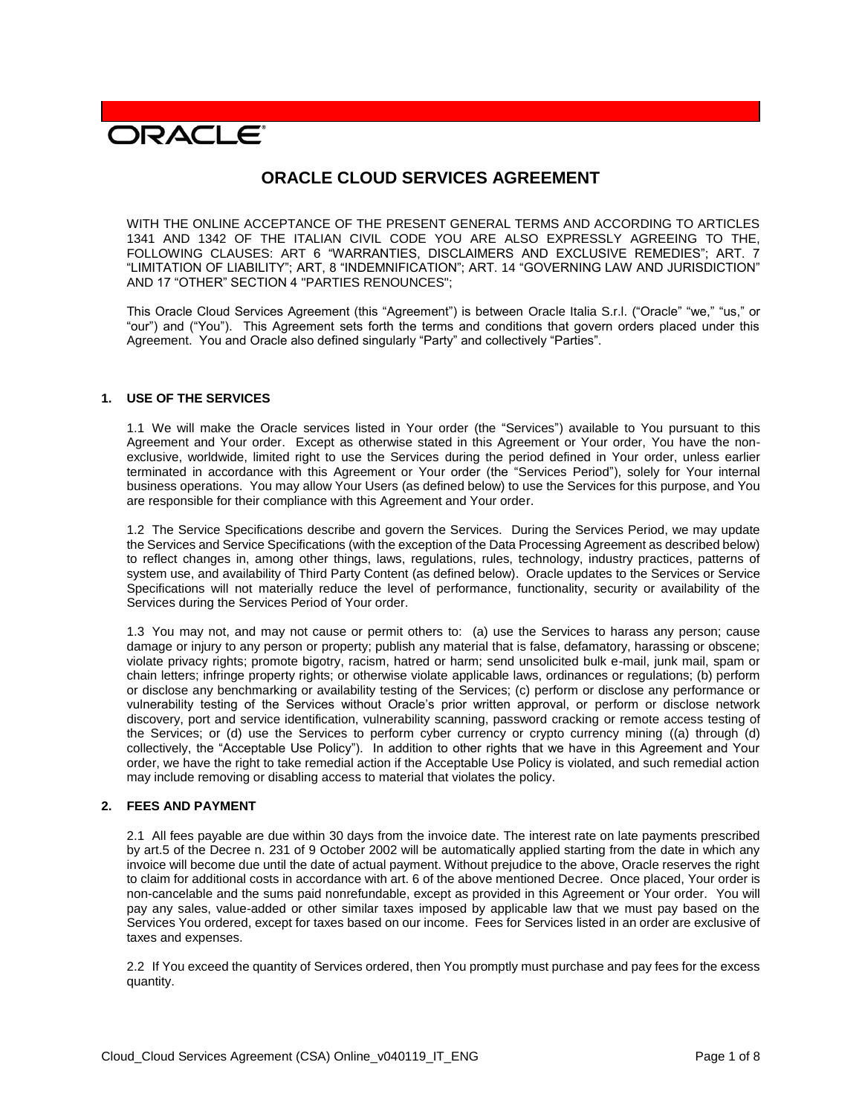# **DRACLE**

# **ORACLE CLOUD SERVICES AGREEMENT**

WITH THE ONLINE ACCEPTANCE OF THE PRESENT GENERAL TERMS AND ACCORDING TO ARTICLES 1341 AND 1342 OF THE ITALIAN CIVIL CODE YOU ARE ALSO EXPRESSLY AGREEING TO THE, FOLLOWING CLAUSES: ART 6 "WARRANTIES, DISCLAIMERS AND EXCLUSIVE REMEDIES"; ART. 7 "LIMITATION OF LIABILITY"; ART, 8 "INDEMNIFICATION"; ART. 14 "GOVERNING LAW AND JURISDICTION" AND 17 "OTHER" SECTION 4 "PARTIES RENOUNCES";

This Oracle Cloud Services Agreement (this "Agreement") is between Oracle Italia S.r.l. ("Oracle" "we," "us," or "our") and ("You"). This Agreement sets forth the terms and conditions that govern orders placed under this Agreement. You and Oracle also defined singularly "Party" and collectively "Parties".

# **1. USE OF THE SERVICES**

1.1 We will make the Oracle services listed in Your order (the "Services") available to You pursuant to this Agreement and Your order. Except as otherwise stated in this Agreement or Your order, You have the nonexclusive, worldwide, limited right to use the Services during the period defined in Your order, unless earlier terminated in accordance with this Agreement or Your order (the "Services Period"), solely for Your internal business operations. You may allow Your Users (as defined below) to use the Services for this purpose, and You are responsible for their compliance with this Agreement and Your order.

1.2 The Service Specifications describe and govern the Services. During the Services Period, we may update the Services and Service Specifications (with the exception of the Data Processing Agreement as described below) to reflect changes in, among other things, laws, regulations, rules, technology, industry practices, patterns of system use, and availability of Third Party Content (as defined below). Oracle updates to the Services or Service Specifications will not materially reduce the level of performance, functionality, security or availability of the Services during the Services Period of Your order.

1.3 You may not, and may not cause or permit others to: (a) use the Services to harass any person; cause damage or injury to any person or property; publish any material that is false, defamatory, harassing or obscene; violate privacy rights; promote bigotry, racism, hatred or harm; send unsolicited bulk e-mail, junk mail, spam or chain letters; infringe property rights; or otherwise violate applicable laws, ordinances or regulations; (b) perform or disclose any benchmarking or availability testing of the Services; (c) perform or disclose any performance or vulnerability testing of the Services without Oracle's prior written approval, or perform or disclose network discovery, port and service identification, vulnerability scanning, password cracking or remote access testing of the Services; or (d) use the Services to perform cyber currency or crypto currency mining ((a) through (d) collectively, the "Acceptable Use Policy"). In addition to other rights that we have in this Agreement and Your order, we have the right to take remedial action if the Acceptable Use Policy is violated, and such remedial action may include removing or disabling access to material that violates the policy.

#### **2. FEES AND PAYMENT**

2.1 All fees payable are due within 30 days from the invoice date. The interest rate on late payments prescribed by art.5 of the Decree n. 231 of 9 October 2002 will be automatically applied starting from the date in which any invoice will become due until the date of actual payment. Without prejudice to the above, Oracle reserves the right to claim for additional costs in accordance with art. 6 of the above mentioned Decree. Once placed, Your order is non-cancelable and the sums paid nonrefundable, except as provided in this Agreement or Your order. You will pay any sales, value-added or other similar taxes imposed by applicable law that we must pay based on the Services You ordered, except for taxes based on our income. Fees for Services listed in an order are exclusive of taxes and expenses.

2.2 If You exceed the quantity of Services ordered, then You promptly must purchase and pay fees for the excess quantity.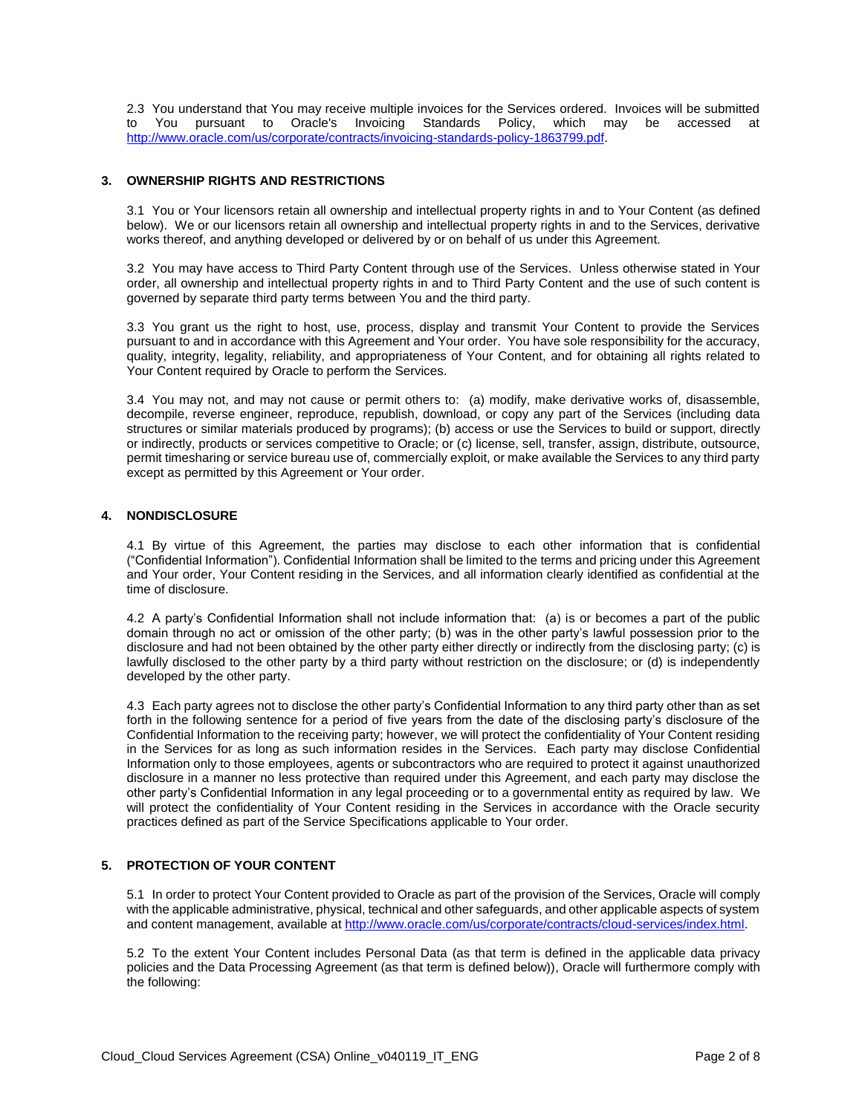2.3 You understand that You may receive multiple invoices for the Services ordered. Invoices will be submitted<br>to You pursuant to Oracle's Invoicing Standards Policy, which may be accessed at to You pursuant to Oracle's Invoicing Standards Policy, which may be accessed at [http://www.oracle.com/us/corporate/contracts/invoicing-standards-policy-1863799.pdf.](http://www.oracle.com/us/corporate/contracts/invoicing-standards-policy-1863799.pdf)

# **3. OWNERSHIP RIGHTS AND RESTRICTIONS**

3.1 You or Your licensors retain all ownership and intellectual property rights in and to Your Content (as defined below). We or our licensors retain all ownership and intellectual property rights in and to the Services, derivative works thereof, and anything developed or delivered by or on behalf of us under this Agreement.

3.2 You may have access to Third Party Content through use of the Services. Unless otherwise stated in Your order, all ownership and intellectual property rights in and to Third Party Content and the use of such content is governed by separate third party terms between You and the third party.

3.3 You grant us the right to host, use, process, display and transmit Your Content to provide the Services pursuant to and in accordance with this Agreement and Your order. You have sole responsibility for the accuracy, quality, integrity, legality, reliability, and appropriateness of Your Content, and for obtaining all rights related to Your Content required by Oracle to perform the Services.

3.4 You may not, and may not cause or permit others to: (a) modify, make derivative works of, disassemble, decompile, reverse engineer, reproduce, republish, download, or copy any part of the Services (including data structures or similar materials produced by programs); (b) access or use the Services to build or support, directly or indirectly, products or services competitive to Oracle; or (c) license, sell, transfer, assign, distribute, outsource, permit timesharing or service bureau use of, commercially exploit, or make available the Services to any third party except as permitted by this Agreement or Your order.

# **4. NONDISCLOSURE**

4.1 By virtue of this Agreement, the parties may disclose to each other information that is confidential ("Confidential Information"). Confidential Information shall be limited to the terms and pricing under this Agreement and Your order, Your Content residing in the Services, and all information clearly identified as confidential at the time of disclosure.

4.2 A party's Confidential Information shall not include information that: (a) is or becomes a part of the public domain through no act or omission of the other party; (b) was in the other party's lawful possession prior to the disclosure and had not been obtained by the other party either directly or indirectly from the disclosing party; (c) is lawfully disclosed to the other party by a third party without restriction on the disclosure; or (d) is independently developed by the other party.

4.3 Each party agrees not to disclose the other party's Confidential Information to any third party other than as set forth in the following sentence for a period of five years from the date of the disclosing party's disclosure of the Confidential Information to the receiving party; however, we will protect the confidentiality of Your Content residing in the Services for as long as such information resides in the Services. Each party may disclose Confidential Information only to those employees, agents or subcontractors who are required to protect it against unauthorized disclosure in a manner no less protective than required under this Agreement, and each party may disclose the other party's Confidential Information in any legal proceeding or to a governmental entity as required by law. We will protect the confidentiality of Your Content residing in the Services in accordance with the Oracle security practices defined as part of the Service Specifications applicable to Your order.

# **5. PROTECTION OF YOUR CONTENT**

5.1 In order to protect Your Content provided to Oracle as part of the provision of the Services, Oracle will comply with the applicable administrative, physical, technical and other safeguards, and other applicable aspects of system and content management, available at [http://www.oracle.com/us/corporate/contracts/cloud-services/index.html.](http://www.oracle.com/us/corporate/contracts/cloud-services/index.html)

5.2 To the extent Your Content includes Personal Data (as that term is defined in the applicable data privacy policies and the Data Processing Agreement (as that term is defined below)), Oracle will furthermore comply with the following: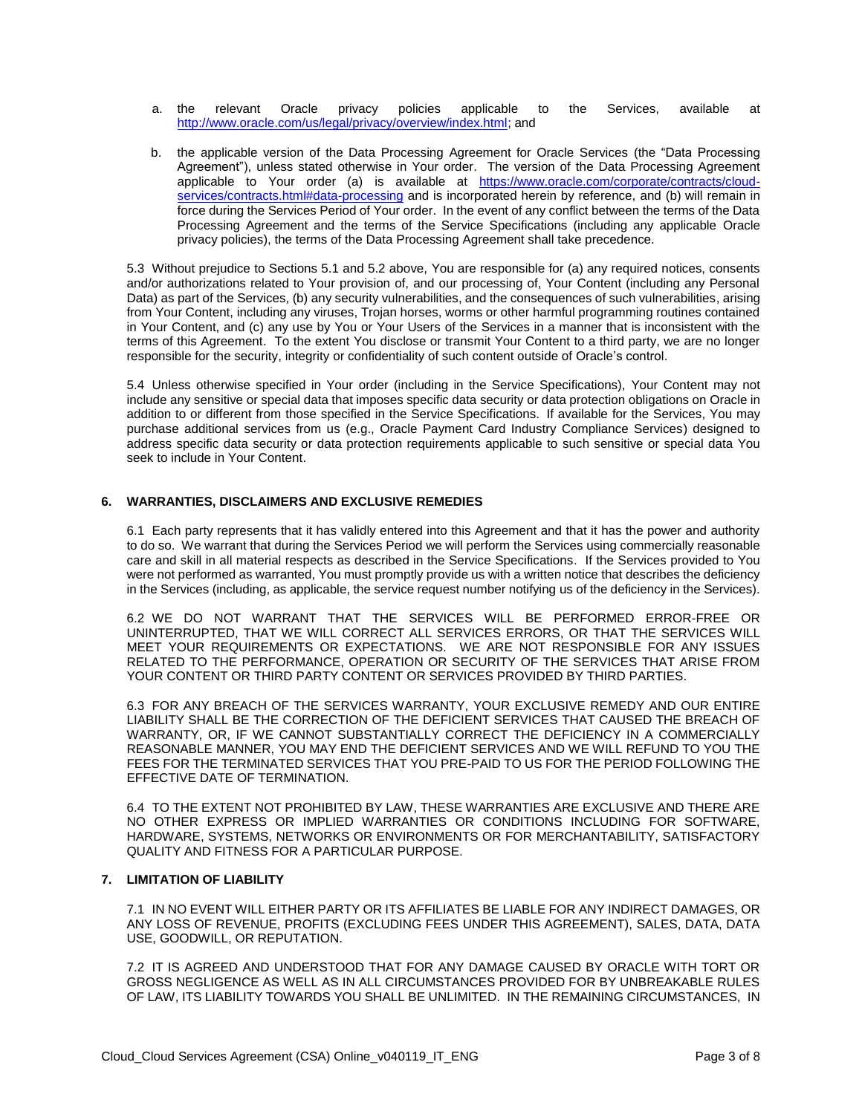- a. the relevant Oracle privacy policies applicable to the Services, available at [http://www.oracle.com/us/legal/privacy/overview/index.html;](http://www.oracle.com/us/legal/privacy/overview/index.html) and
- b. the applicable version of the Data Processing Agreement for Oracle Services (the "Data Processing Agreement"), unless stated otherwise in Your order. The version of the Data Processing Agreement applicable to Your order (a) is available at [https://www.oracle.com/corporate/contracts/cloud](https://www.oracle.com/corporate/contracts/cloud-services/contracts.html#data-processing)[services/contracts.html#data-processing](https://www.oracle.com/corporate/contracts/cloud-services/contracts.html#data-processing) and is incorporated herein by reference, and (b) will remain in force during the Services Period of Your order. In the event of any conflict between the terms of the Data Processing Agreement and the terms of the Service Specifications (including any applicable Oracle privacy policies), the terms of the Data Processing Agreement shall take precedence.

5.3 Without prejudice to Sections 5.1 and 5.2 above, You are responsible for (a) any required notices, consents and/or authorizations related to Your provision of, and our processing of, Your Content (including any Personal Data) as part of the Services, (b) any security vulnerabilities, and the consequences of such vulnerabilities, arising from Your Content, including any viruses, Trojan horses, worms or other harmful programming routines contained in Your Content, and (c) any use by You or Your Users of the Services in a manner that is inconsistent with the terms of this Agreement. To the extent You disclose or transmit Your Content to a third party, we are no longer responsible for the security, integrity or confidentiality of such content outside of Oracle's control.

5.4 Unless otherwise specified in Your order (including in the Service Specifications), Your Content may not include any sensitive or special data that imposes specific data security or data protection obligations on Oracle in addition to or different from those specified in the Service Specifications. If available for the Services, You may purchase additional services from us (e.g., Oracle Payment Card Industry Compliance Services) designed to address specific data security or data protection requirements applicable to such sensitive or special data You seek to include in Your Content.

#### **6. WARRANTIES, DISCLAIMERS AND EXCLUSIVE REMEDIES**

6.1 Each party represents that it has validly entered into this Agreement and that it has the power and authority to do so. We warrant that during the Services Period we will perform the Services using commercially reasonable care and skill in all material respects as described in the Service Specifications. If the Services provided to You were not performed as warranted, You must promptly provide us with a written notice that describes the deficiency in the Services (including, as applicable, the service request number notifying us of the deficiency in the Services).

6.2 WE DO NOT WARRANT THAT THE SERVICES WILL BE PERFORMED ERROR-FREE OR UNINTERRUPTED, THAT WE WILL CORRECT ALL SERVICES ERRORS, OR THAT THE SERVICES WILL MEET YOUR REQUIREMENTS OR EXPECTATIONS. WE ARE NOT RESPONSIBLE FOR ANY ISSUES RELATED TO THE PERFORMANCE, OPERATION OR SECURITY OF THE SERVICES THAT ARISE FROM YOUR CONTENT OR THIRD PARTY CONTENT OR SERVICES PROVIDED BY THIRD PARTIES.

6.3 FOR ANY BREACH OF THE SERVICES WARRANTY, YOUR EXCLUSIVE REMEDY AND OUR ENTIRE LIABILITY SHALL BE THE CORRECTION OF THE DEFICIENT SERVICES THAT CAUSED THE BREACH OF WARRANTY, OR, IF WE CANNOT SUBSTANTIALLY CORRECT THE DEFICIENCY IN A COMMERCIALLY REASONABLE MANNER, YOU MAY END THE DEFICIENT SERVICES AND WE WILL REFUND TO YOU THE FEES FOR THE TERMINATED SERVICES THAT YOU PRE-PAID TO US FOR THE PERIOD FOLLOWING THE EFFECTIVE DATE OF TERMINATION.

6.4 TO THE EXTENT NOT PROHIBITED BY LAW, THESE WARRANTIES ARE EXCLUSIVE AND THERE ARE NO OTHER EXPRESS OR IMPLIED WARRANTIES OR CONDITIONS INCLUDING FOR SOFTWARE, HARDWARE, SYSTEMS, NETWORKS OR ENVIRONMENTS OR FOR MERCHANTABILITY, SATISFACTORY QUALITY AND FITNESS FOR A PARTICULAR PURPOSE.

#### **7. LIMITATION OF LIABILITY**

7.1 IN NO EVENT WILL EITHER PARTY OR ITS AFFILIATES BE LIABLE FOR ANY INDIRECT DAMAGES, OR ANY LOSS OF REVENUE, PROFITS (EXCLUDING FEES UNDER THIS AGREEMENT), SALES, DATA, DATA USE, GOODWILL, OR REPUTATION.

7.2 IT IS AGREED AND UNDERSTOOD THAT FOR ANY DAMAGE CAUSED BY ORACLE WITH TORT OR GROSS NEGLIGENCE AS WELL AS IN ALL CIRCUMSTANCES PROVIDED FOR BY UNBREAKABLE RULES OF LAW, ITS LIABILITY TOWARDS YOU SHALL BE UNLIMITED. IN THE REMAINING CIRCUMSTANCES, IN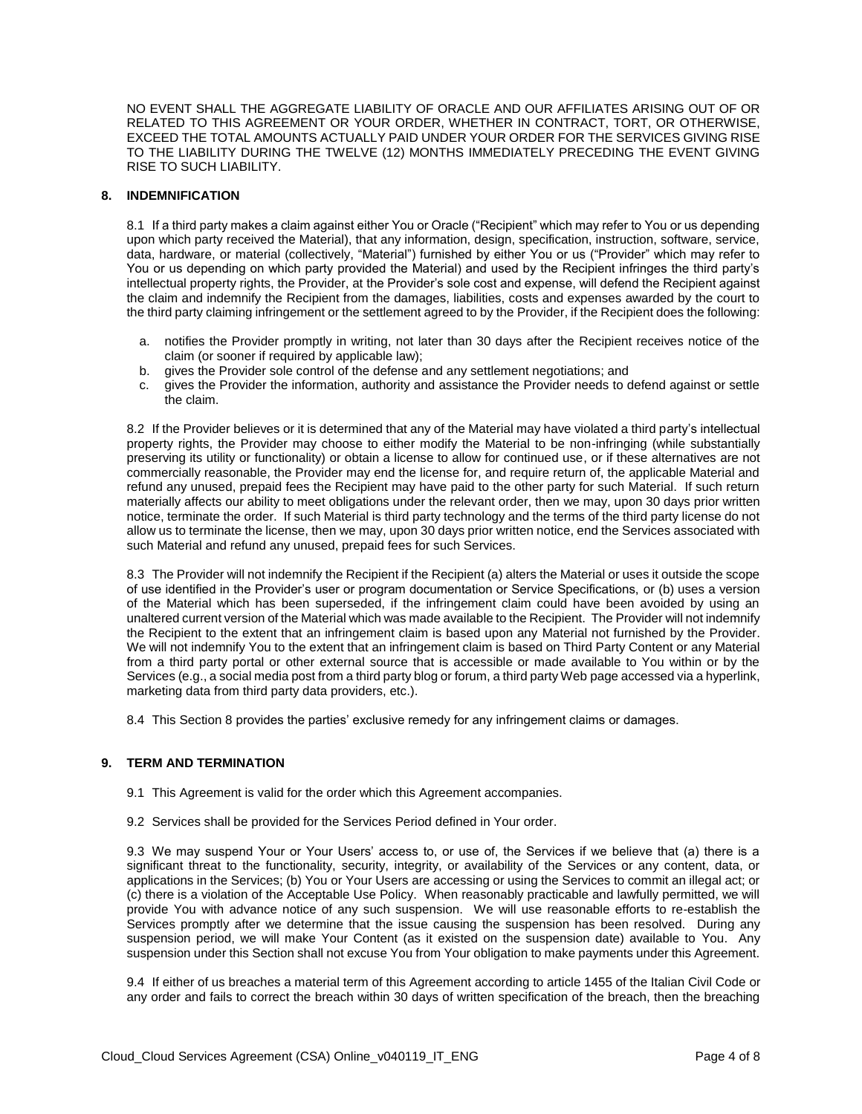NO EVENT SHALL THE AGGREGATE LIABILITY OF ORACLE AND OUR AFFILIATES ARISING OUT OF OR RELATED TO THIS AGREEMENT OR YOUR ORDER, WHETHER IN CONTRACT, TORT, OR OTHERWISE, EXCEED THE TOTAL AMOUNTS ACTUALLY PAID UNDER YOUR ORDER FOR THE SERVICES GIVING RISE TO THE LIABILITY DURING THE TWELVE (12) MONTHS IMMEDIATELY PRECEDING THE EVENT GIVING RISE TO SUCH LIABILITY.

#### **8. INDEMNIFICATION**

8.1 If a third party makes a claim against either You or Oracle ("Recipient" which may refer to You or us depending upon which party received the Material), that any information, design, specification, instruction, software, service, data, hardware, or material (collectively, "Material") furnished by either You or us ("Provider" which may refer to You or us depending on which party provided the Material) and used by the Recipient infringes the third party's intellectual property rights, the Provider, at the Provider's sole cost and expense, will defend the Recipient against the claim and indemnify the Recipient from the damages, liabilities, costs and expenses awarded by the court to the third party claiming infringement or the settlement agreed to by the Provider, if the Recipient does the following:

- a. notifies the Provider promptly in writing, not later than 30 days after the Recipient receives notice of the claim (or sooner if required by applicable law);
- b. gives the Provider sole control of the defense and any settlement negotiations; and
- c. gives the Provider the information, authority and assistance the Provider needs to defend against or settle the claim.

8.2 If the Provider believes or it is determined that any of the Material may have violated a third party's intellectual property rights, the Provider may choose to either modify the Material to be non-infringing (while substantially preserving its utility or functionality) or obtain a license to allow for continued use, or if these alternatives are not commercially reasonable, the Provider may end the license for, and require return of, the applicable Material and refund any unused, prepaid fees the Recipient may have paid to the other party for such Material. If such return materially affects our ability to meet obligations under the relevant order, then we may, upon 30 days prior written notice, terminate the order. If such Material is third party technology and the terms of the third party license do not allow us to terminate the license, then we may, upon 30 days prior written notice, end the Services associated with such Material and refund any unused, prepaid fees for such Services.

8.3 The Provider will not indemnify the Recipient if the Recipient (a) alters the Material or uses it outside the scope of use identified in the Provider's user or program documentation or Service Specifications, or (b) uses a version of the Material which has been superseded, if the infringement claim could have been avoided by using an unaltered current version of the Material which was made available to the Recipient. The Provider will not indemnify the Recipient to the extent that an infringement claim is based upon any Material not furnished by the Provider. We will not indemnify You to the extent that an infringement claim is based on Third Party Content or any Material from a third party portal or other external source that is accessible or made available to You within or by the Services (e.g., a social media post from a third party blog or forum, a third party Web page accessed via a hyperlink, marketing data from third party data providers, etc.).

8.4 This Section 8 provides the parties' exclusive remedy for any infringement claims or damages.

#### **9. TERM AND TERMINATION**

- 9.1 This Agreement is valid for the order which this Agreement accompanies.
- 9.2 Services shall be provided for the Services Period defined in Your order.

9.3 We may suspend Your or Your Users' access to, or use of, the Services if we believe that (a) there is a significant threat to the functionality, security, integrity, or availability of the Services or any content, data, or applications in the Services; (b) You or Your Users are accessing or using the Services to commit an illegal act; or (c) there is a violation of the Acceptable Use Policy. When reasonably practicable and lawfully permitted, we will provide You with advance notice of any such suspension. We will use reasonable efforts to re-establish the Services promptly after we determine that the issue causing the suspension has been resolved. During any suspension period, we will make Your Content (as it existed on the suspension date) available to You. Any suspension under this Section shall not excuse You from Your obligation to make payments under this Agreement.

9.4 If either of us breaches a material term of this Agreement according to article 1455 of the Italian Civil Code or any order and fails to correct the breach within 30 days of written specification of the breach, then the breaching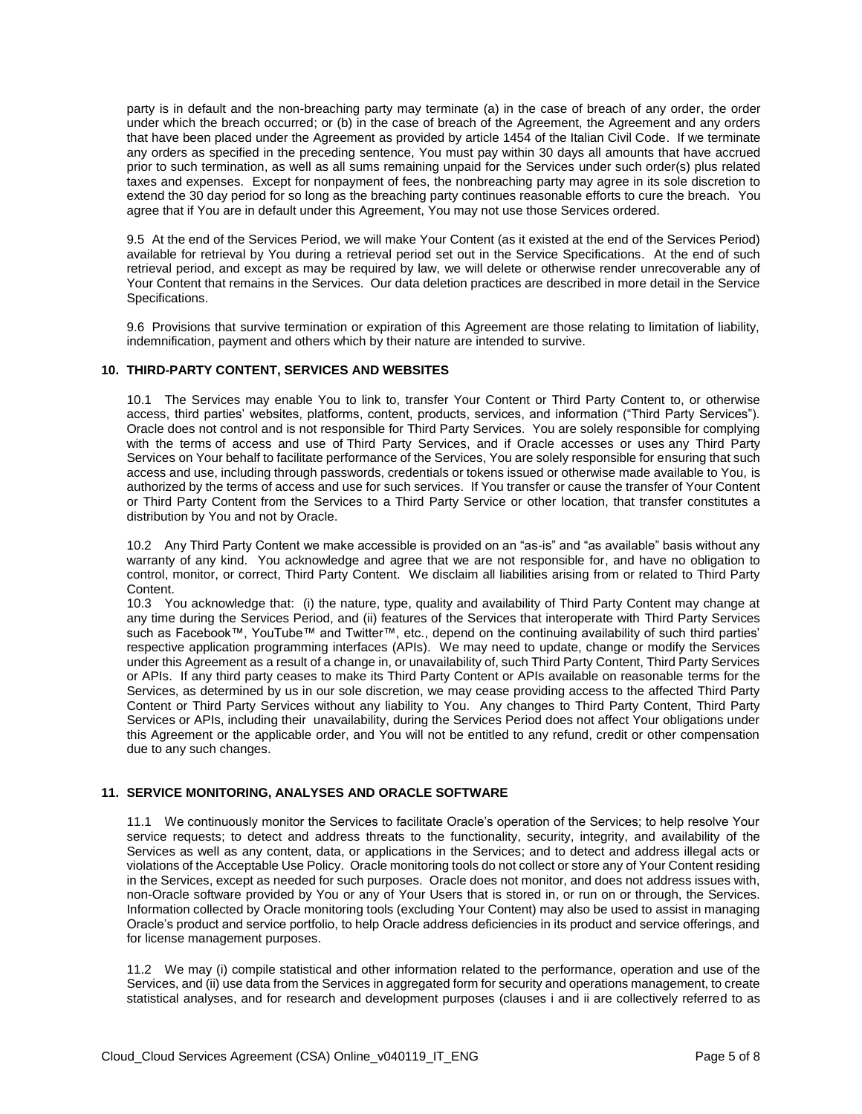party is in default and the non-breaching party may terminate (a) in the case of breach of any order, the order under which the breach occurred; or (b) in the case of breach of the Agreement, the Agreement and any orders that have been placed under the Agreement as provided by article 1454 of the Italian Civil Code. If we terminate any orders as specified in the preceding sentence, You must pay within 30 days all amounts that have accrued prior to such termination, as well as all sums remaining unpaid for the Services under such order(s) plus related taxes and expenses. Except for nonpayment of fees, the nonbreaching party may agree in its sole discretion to extend the 30 day period for so long as the breaching party continues reasonable efforts to cure the breach. You agree that if You are in default under this Agreement, You may not use those Services ordered.

9.5 At the end of the Services Period, we will make Your Content (as it existed at the end of the Services Period) available for retrieval by You during a retrieval period set out in the Service Specifications. At the end of such retrieval period, and except as may be required by law, we will delete or otherwise render unrecoverable any of Your Content that remains in the Services. Our data deletion practices are described in more detail in the Service Specifications.

9.6 Provisions that survive termination or expiration of this Agreement are those relating to limitation of liability, indemnification, payment and others which by their nature are intended to survive.

#### **10. THIRD-PARTY CONTENT, SERVICES AND WEBSITES**

10.1 The Services may enable You to link to, transfer Your Content or Third Party Content to, or otherwise access, third parties' websites, platforms, content, products, services, and information ("Third Party Services"). Oracle does not control and is not responsible for Third Party Services. You are solely responsible for complying with the terms of access and use of Third Party Services, and if Oracle accesses or uses any Third Party Services on Your behalf to facilitate performance of the Services, You are solely responsible for ensuring that such access and use, including through passwords, credentials or tokens issued or otherwise made available to You, is authorized by the terms of access and use for such services. If You transfer or cause the transfer of Your Content or Third Party Content from the Services to a Third Party Service or other location, that transfer constitutes a distribution by You and not by Oracle.

10.2 Any Third Party Content we make accessible is provided on an "as-is" and "as available" basis without any warranty of any kind. You acknowledge and agree that we are not responsible for, and have no obligation to control, monitor, or correct, Third Party Content. We disclaim all liabilities arising from or related to Third Party Content.

10.3 You acknowledge that: (i) the nature, type, quality and availability of Third Party Content may change at any time during the Services Period, and (ii) features of the Services that interoperate with Third Party Services such as Facebook™, YouTube™ and Twitter™, etc., depend on the continuing availability of such third parties' respective application programming interfaces (APIs). We may need to update, change or modify the Services under this Agreement as a result of a change in, or unavailability of, such Third Party Content, Third Party Services or APIs. If any third party ceases to make its Third Party Content or APIs available on reasonable terms for the Services, as determined by us in our sole discretion, we may cease providing access to the affected Third Party Content or Third Party Services without any liability to You. Any changes to Third Party Content, Third Party Services or APIs, including their unavailability, during the Services Period does not affect Your obligations under this Agreement or the applicable order, and You will not be entitled to any refund, credit or other compensation due to any such changes.

#### **11. SERVICE MONITORING, ANALYSES AND ORACLE SOFTWARE**

11.1 We continuously monitor the Services to facilitate Oracle's operation of the Services; to help resolve Your service requests; to detect and address threats to the functionality, security, integrity, and availability of the Services as well as any content, data, or applications in the Services; and to detect and address illegal acts or violations of the Acceptable Use Policy. Oracle monitoring tools do not collect or store any of Your Content residing in the Services, except as needed for such purposes. Oracle does not monitor, and does not address issues with, non-Oracle software provided by You or any of Your Users that is stored in, or run on or through, the Services. Information collected by Oracle monitoring tools (excluding Your Content) may also be used to assist in managing Oracle's product and service portfolio, to help Oracle address deficiencies in its product and service offerings, and for license management purposes.

11.2 We may (i) compile statistical and other information related to the performance, operation and use of the Services, and (ii) use data from the Services in aggregated form for security and operations management, to create statistical analyses, and for research and development purposes (clauses i and ii are collectively referred to as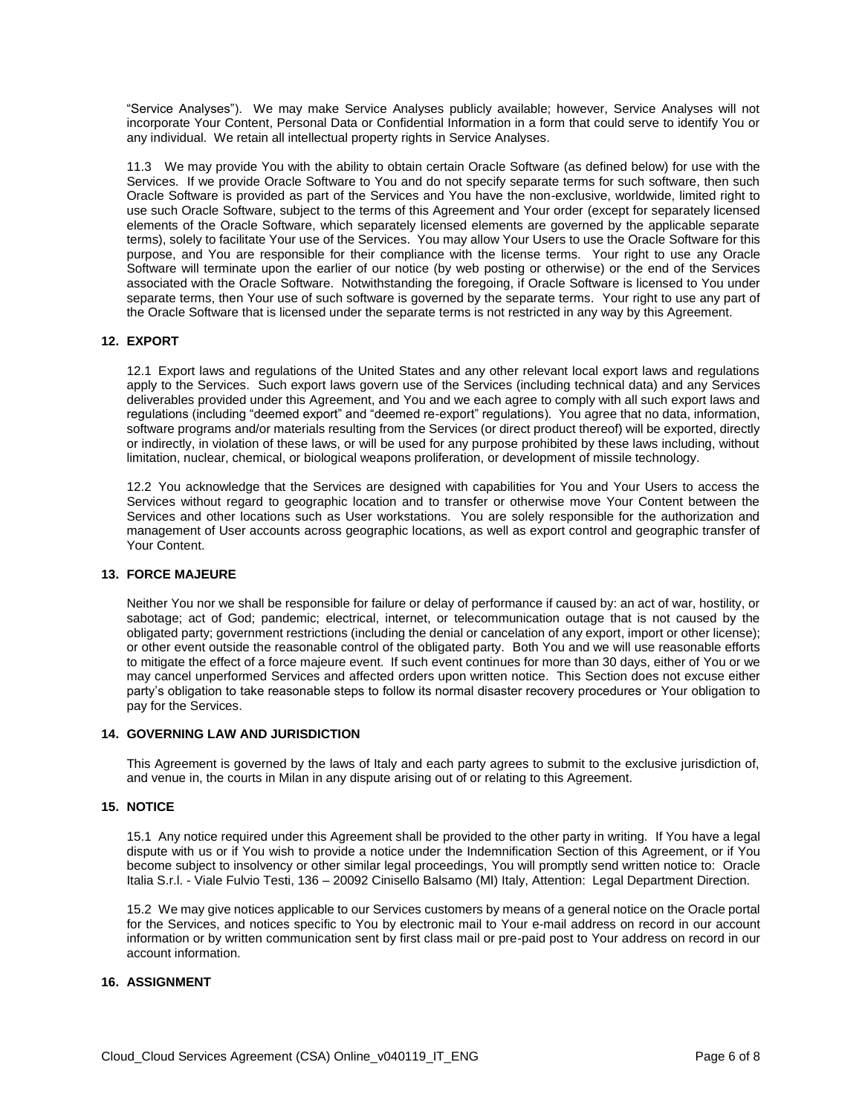"Service Analyses"). We may make Service Analyses publicly available; however, Service Analyses will not incorporate Your Content, Personal Data or Confidential Information in a form that could serve to identify You or any individual. We retain all intellectual property rights in Service Analyses.

11.3 We may provide You with the ability to obtain certain Oracle Software (as defined below) for use with the Services. If we provide Oracle Software to You and do not specify separate terms for such software, then such Oracle Software is provided as part of the Services and You have the non-exclusive, worldwide, limited right to use such Oracle Software, subject to the terms of this Agreement and Your order (except for separately licensed elements of the Oracle Software, which separately licensed elements are governed by the applicable separate terms), solely to facilitate Your use of the Services. You may allow Your Users to use the Oracle Software for this purpose, and You are responsible for their compliance with the license terms. Your right to use any Oracle Software will terminate upon the earlier of our notice (by web posting or otherwise) or the end of the Services associated with the Oracle Software. Notwithstanding the foregoing, if Oracle Software is licensed to You under separate terms, then Your use of such software is governed by the separate terms. Your right to use any part of the Oracle Software that is licensed under the separate terms is not restricted in any way by this Agreement.

# **12. EXPORT**

12.1 Export laws and regulations of the United States and any other relevant local export laws and regulations apply to the Services. Such export laws govern use of the Services (including technical data) and any Services deliverables provided under this Agreement, and You and we each agree to comply with all such export laws and regulations (including "deemed export" and "deemed re-export" regulations). You agree that no data, information, software programs and/or materials resulting from the Services (or direct product thereof) will be exported, directly or indirectly, in violation of these laws, or will be used for any purpose prohibited by these laws including, without limitation, nuclear, chemical, or biological weapons proliferation, or development of missile technology.

12.2 You acknowledge that the Services are designed with capabilities for You and Your Users to access the Services without regard to geographic location and to transfer or otherwise move Your Content between the Services and other locations such as User workstations. You are solely responsible for the authorization and management of User accounts across geographic locations, as well as export control and geographic transfer of Your Content.

### **13. FORCE MAJEURE**

Neither You nor we shall be responsible for failure or delay of performance if caused by: an act of war, hostility, or sabotage; act of God; pandemic; electrical, internet, or telecommunication outage that is not caused by the obligated party; government restrictions (including the denial or cancelation of any export, import or other license); or other event outside the reasonable control of the obligated party. Both You and we will use reasonable efforts to mitigate the effect of a force majeure event. If such event continues for more than 30 days, either of You or we may cancel unperformed Services and affected orders upon written notice. This Section does not excuse either party's obligation to take reasonable steps to follow its normal disaster recovery procedures or Your obligation to pay for the Services.

#### **14. GOVERNING LAW AND JURISDICTION**

This Agreement is governed by the laws of Italy and each party agrees to submit to the exclusive jurisdiction of, and venue in, the courts in Milan in any dispute arising out of or relating to this Agreement.

#### **15. NOTICE**

15.1 Any notice required under this Agreement shall be provided to the other party in writing. If You have a legal dispute with us or if You wish to provide a notice under the Indemnification Section of this Agreement, or if You become subject to insolvency or other similar legal proceedings, You will promptly send written notice to: Oracle Italia S.r.l. - Viale Fulvio Testi, 136 – 20092 Cinisello Balsamo (MI) Italy, Attention: Legal Department Direction.

15.2 We may give notices applicable to our Services customers by means of a general notice on the Oracle portal for the Services, and notices specific to You by electronic mail to Your e-mail address on record in our account information or by written communication sent by first class mail or pre-paid post to Your address on record in our account information.

# **16. ASSIGNMENT**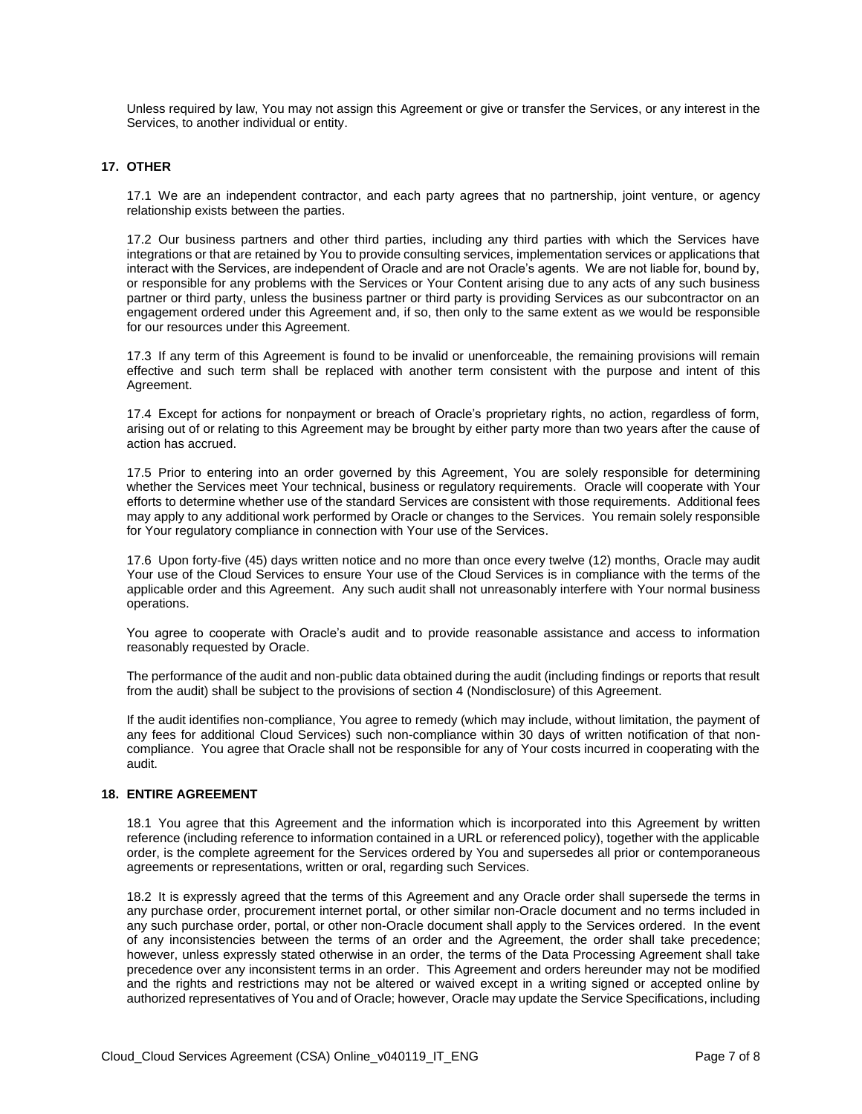Unless required by law, You may not assign this Agreement or give or transfer the Services, or any interest in the Services, to another individual or entity.

#### **17. OTHER**

17.1 We are an independent contractor, and each party agrees that no partnership, joint venture, or agency relationship exists between the parties.

17.2 Our business partners and other third parties, including any third parties with which the Services have integrations or that are retained by You to provide consulting services, implementation services or applications that interact with the Services, are independent of Oracle and are not Oracle's agents. We are not liable for, bound by, or responsible for any problems with the Services or Your Content arising due to any acts of any such business partner or third party, unless the business partner or third party is providing Services as our subcontractor on an engagement ordered under this Agreement and, if so, then only to the same extent as we would be responsible for our resources under this Agreement.

17.3 If any term of this Agreement is found to be invalid or unenforceable, the remaining provisions will remain effective and such term shall be replaced with another term consistent with the purpose and intent of this Agreement.

17.4 Except for actions for nonpayment or breach of Oracle's proprietary rights, no action, regardless of form, arising out of or relating to this Agreement may be brought by either party more than two years after the cause of action has accrued.

17.5 Prior to entering into an order governed by this Agreement, You are solely responsible for determining whether the Services meet Your technical, business or regulatory requirements. Oracle will cooperate with Your efforts to determine whether use of the standard Services are consistent with those requirements. Additional fees may apply to any additional work performed by Oracle or changes to the Services. You remain solely responsible for Your regulatory compliance in connection with Your use of the Services.

17.6 Upon forty-five (45) days written notice and no more than once every twelve (12) months, Oracle may audit Your use of the Cloud Services to ensure Your use of the Cloud Services is in compliance with the terms of the applicable order and this Agreement. Any such audit shall not unreasonably interfere with Your normal business operations.

You agree to cooperate with Oracle's audit and to provide reasonable assistance and access to information reasonably requested by Oracle.

The performance of the audit and non-public data obtained during the audit (including findings or reports that result from the audit) shall be subject to the provisions of section 4 (Nondisclosure) of this Agreement.

If the audit identifies non-compliance, You agree to remedy (which may include, without limitation, the payment of any fees for additional Cloud Services) such non-compliance within 30 days of written notification of that noncompliance. You agree that Oracle shall not be responsible for any of Your costs incurred in cooperating with the audit.

#### **18. ENTIRE AGREEMENT**

18.1 You agree that this Agreement and the information which is incorporated into this Agreement by written reference (including reference to information contained in a URL or referenced policy), together with the applicable order, is the complete agreement for the Services ordered by You and supersedes all prior or contemporaneous agreements or representations, written or oral, regarding such Services.

18.2 It is expressly agreed that the terms of this Agreement and any Oracle order shall supersede the terms in any purchase order, procurement internet portal, or other similar non-Oracle document and no terms included in any such purchase order, portal, or other non-Oracle document shall apply to the Services ordered. In the event of any inconsistencies between the terms of an order and the Agreement, the order shall take precedence; however, unless expressly stated otherwise in an order, the terms of the Data Processing Agreement shall take precedence over any inconsistent terms in an order. This Agreement and orders hereunder may not be modified and the rights and restrictions may not be altered or waived except in a writing signed or accepted online by authorized representatives of You and of Oracle; however, Oracle may update the Service Specifications, including